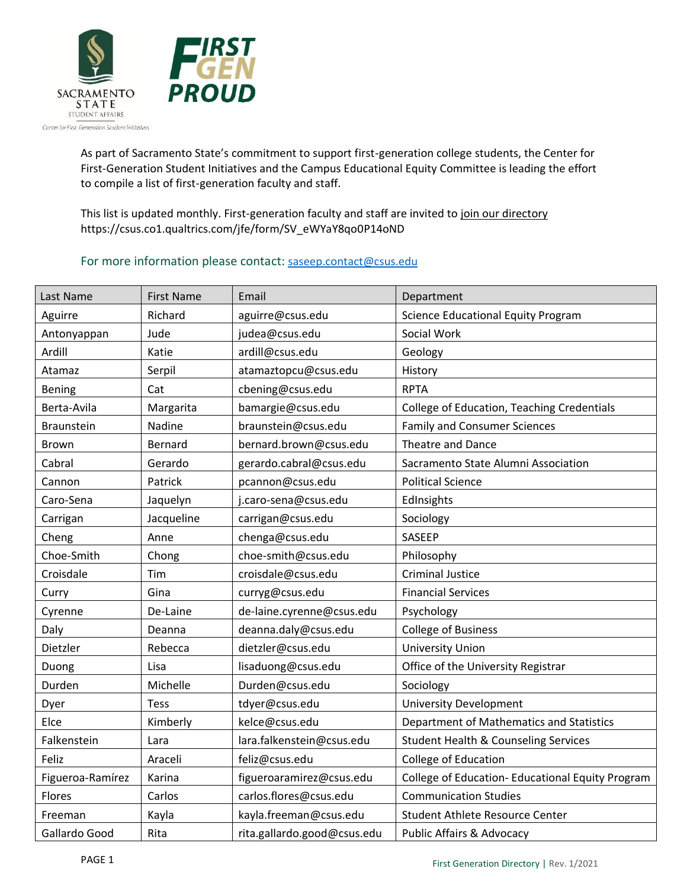

As part of Sacramento State's commitment to support first-generation college students, the Center for First-Generation Student Initiatives and the Campus Educational Equity Committee is leading the effort to compile a list of first-generation faculty and staff.

This list is updated monthly. First-generation faculty and staff are invited t[o join our directory](https://csus.co1.qualtrics.com/jfe/form/SV_eWYaY8qo0P14oND) https://csus.co1.qualtrics.com/jfe/form/SV\_eWYaY8qo0P14oND

## For more information please contact: [saseep.contact@csus.edu](mailto:saseep.contact@csus.edu)

| Last Name         | <b>First Name</b> | Email                       | Department                                       |
|-------------------|-------------------|-----------------------------|--------------------------------------------------|
| Aguirre           | Richard           | aguirre@csus.edu            | <b>Science Educational Equity Program</b>        |
| Antonyappan       | Jude              | judea@csus.edu              | Social Work                                      |
| Ardill            | Katie             | ardill@csus.edu             | Geology                                          |
| Atamaz            | Serpil            | atamaztopcu@csus.edu        | History                                          |
| Bening            | Cat               | cbening@csus.edu            | <b>RPTA</b>                                      |
| Berta-Avila       | Margarita         | bamargie@csus.edu           | College of Education, Teaching Credentials       |
| <b>Braunstein</b> | Nadine            | braunstein@csus.edu         | <b>Family and Consumer Sciences</b>              |
| Brown             | <b>Bernard</b>    | bernard.brown@csus.edu      | Theatre and Dance                                |
| Cabral            | Gerardo           | gerardo.cabral@csus.edu     | Sacramento State Alumni Association              |
| Cannon            | Patrick           | pcannon@csus.edu            | <b>Political Science</b>                         |
| Caro-Sena         | Jaquelyn          | j.caro-sena@csus.edu        | EdInsights                                       |
| Carrigan          | Jacqueline        | carrigan@csus.edu           | Sociology                                        |
| Cheng             | Anne              | chenga@csus.edu             | SASEEP                                           |
| Choe-Smith        | Chong             | choe-smith@csus.edu         | Philosophy                                       |
| Croisdale         | Tim               | croisdale@csus.edu          | <b>Criminal Justice</b>                          |
| Curry             | Gina              | curryg@csus.edu             | <b>Financial Services</b>                        |
| Cyrenne           | De-Laine          | de-laine.cyrenne@csus.edu   | Psychology                                       |
| Daly              | Deanna            | deanna.daly@csus.edu        | <b>College of Business</b>                       |
| Dietzler          | Rebecca           | dietzler@csus.edu           | <b>University Union</b>                          |
| Duong             | Lisa              | lisaduong@csus.edu          | Office of the University Registrar               |
| Durden            | Michelle          | Durden@csus.edu             | Sociology                                        |
| Dyer              | <b>Tess</b>       | tdyer@csus.edu              | <b>University Development</b>                    |
| Elce              | Kimberly          | kelce@csus.edu              | Department of Mathematics and Statistics         |
| Falkenstein       | Lara              | lara.falkenstein@csus.edu   | <b>Student Health &amp; Counseling Services</b>  |
| Feliz             | Araceli           | feliz@csus.edu              | College of Education                             |
| Figueroa-Ramírez  | Karina            | figueroaramirez@csus.edu    | College of Education- Educational Equity Program |
| Flores            | Carlos            | carlos.flores@csus.edu      | <b>Communication Studies</b>                     |
| Freeman           | Kayla             | kayla.freeman@csus.edu      | Student Athlete Resource Center                  |
| Gallardo Good     | Rita              | rita.gallardo.good@csus.edu | <b>Public Affairs &amp; Advocacy</b>             |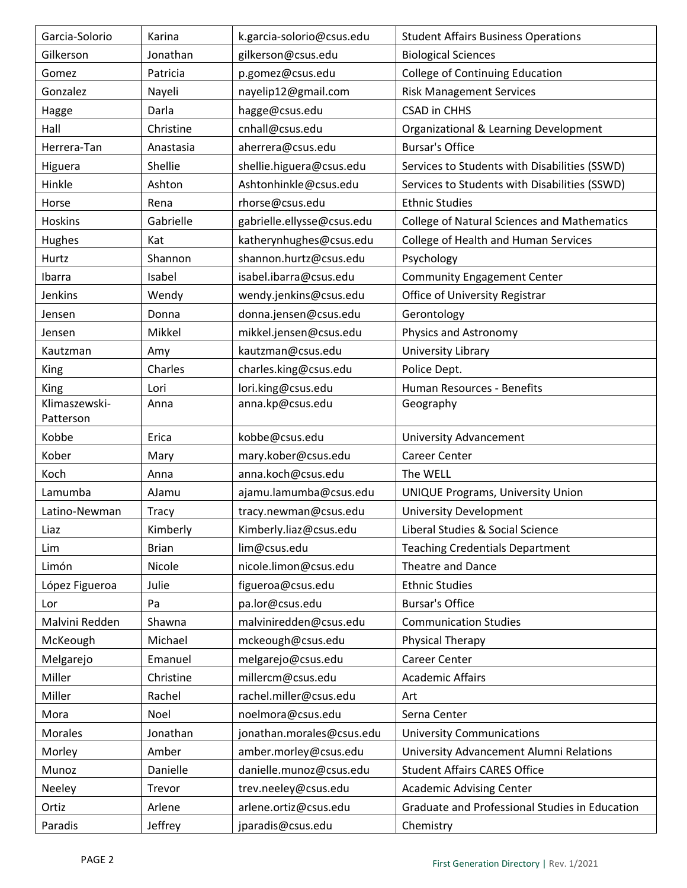| Garcia-Solorio             | Karina       | k.garcia-solorio@csus.edu  | <b>Student Affairs Business Operations</b>         |
|----------------------------|--------------|----------------------------|----------------------------------------------------|
| Gilkerson                  | Jonathan     | gilkerson@csus.edu         | <b>Biological Sciences</b>                         |
| Gomez                      | Patricia     | p.gomez@csus.edu           | <b>College of Continuing Education</b>             |
| Gonzalez                   | Nayeli       | nayelip12@gmail.com        | <b>Risk Management Services</b>                    |
| Hagge                      | Darla        | hagge@csus.edu             | <b>CSAD in CHHS</b>                                |
| Hall                       | Christine    | cnhall@csus.edu            | Organizational & Learning Development              |
| Herrera-Tan                | Anastasia    | aherrera@csus.edu          | <b>Bursar's Office</b>                             |
| Higuera                    | Shellie      | shellie.higuera@csus.edu   | Services to Students with Disabilities (SSWD)      |
| Hinkle                     | Ashton       | Ashtonhinkle@csus.edu      | Services to Students with Disabilities (SSWD)      |
| Horse                      | Rena         | rhorse@csus.edu            | <b>Ethnic Studies</b>                              |
| Hoskins                    | Gabrielle    | gabrielle.ellysse@csus.edu | <b>College of Natural Sciences and Mathematics</b> |
| Hughes                     | Kat          | katherynhughes@csus.edu    | College of Health and Human Services               |
| Hurtz                      | Shannon      | shannon.hurtz@csus.edu     | Psychology                                         |
| Ibarra                     | Isabel       | isabel.ibarra@csus.edu     | <b>Community Engagement Center</b>                 |
| Jenkins                    | Wendy        | wendy.jenkins@csus.edu     | Office of University Registrar                     |
| Jensen                     | Donna        | donna.jensen@csus.edu      | Gerontology                                        |
| Jensen                     | Mikkel       | mikkel.jensen@csus.edu     | Physics and Astronomy                              |
| Kautzman                   | Amy          | kautzman@csus.edu          | University Library                                 |
| <b>King</b>                | Charles      | charles.king@csus.edu      | Police Dept.                                       |
| King                       | Lori         | lori.king@csus.edu         | Human Resources - Benefits                         |
| Klimaszewski-<br>Patterson | Anna         | anna.kp@csus.edu           | Geography                                          |
| Kobbe                      | Erica        | kobbe@csus.edu             | <b>University Advancement</b>                      |
| Kober                      | Mary         | mary.kober@csus.edu        | Career Center                                      |
| Koch                       | Anna         | anna.koch@csus.edu         | The WELL                                           |
| Lamumba                    | AJamu        | ajamu.lamumba@csus.edu     | <b>UNIQUE Programs, University Union</b>           |
| Latino-Newman              | Tracy        | tracy.newman@csus.edu      | <b>University Development</b>                      |
| Liaz                       | Kimberly     | Kimberly.liaz@csus.edu     | Liberal Studies & Social Science                   |
| Lim                        | <b>Brian</b> | lim@csus.edu               | <b>Teaching Credentials Department</b>             |
| Limón                      | Nicole       | nicole.limon@csus.edu      | Theatre and Dance                                  |
| López Figueroa             | Julie        | figueroa@csus.edu          | <b>Ethnic Studies</b>                              |
| Lor                        | Pa           | pa.lor@csus.edu            | <b>Bursar's Office</b>                             |
| Malvini Redden             | Shawna       | malviniredden@csus.edu     | <b>Communication Studies</b>                       |
| McKeough                   | Michael      | mckeough@csus.edu          | Physical Therapy                                   |
| Melgarejo                  | Emanuel      | melgarejo@csus.edu         | Career Center                                      |
| Miller                     | Christine    | millercm@csus.edu          | <b>Academic Affairs</b>                            |
| Miller                     | Rachel       | rachel.miller@csus.edu     | Art                                                |
| Mora                       | Noel         | noelmora@csus.edu          | Serna Center                                       |
| <b>Morales</b>             | Jonathan     | jonathan.morales@csus.edu  | <b>University Communications</b>                   |
| Morley                     | Amber        | amber.morley@csus.edu      | University Advancement Alumni Relations            |
| Munoz                      | Danielle     | danielle.munoz@csus.edu    | <b>Student Affairs CARES Office</b>                |
| Neeley                     | Trevor       | trev.neeley@csus.edu       | <b>Academic Advising Center</b>                    |
| Ortiz                      | Arlene       | arlene.ortiz@csus.edu      | Graduate and Professional Studies in Education     |
| Paradis                    | Jeffrey      | jparadis@csus.edu          | Chemistry                                          |